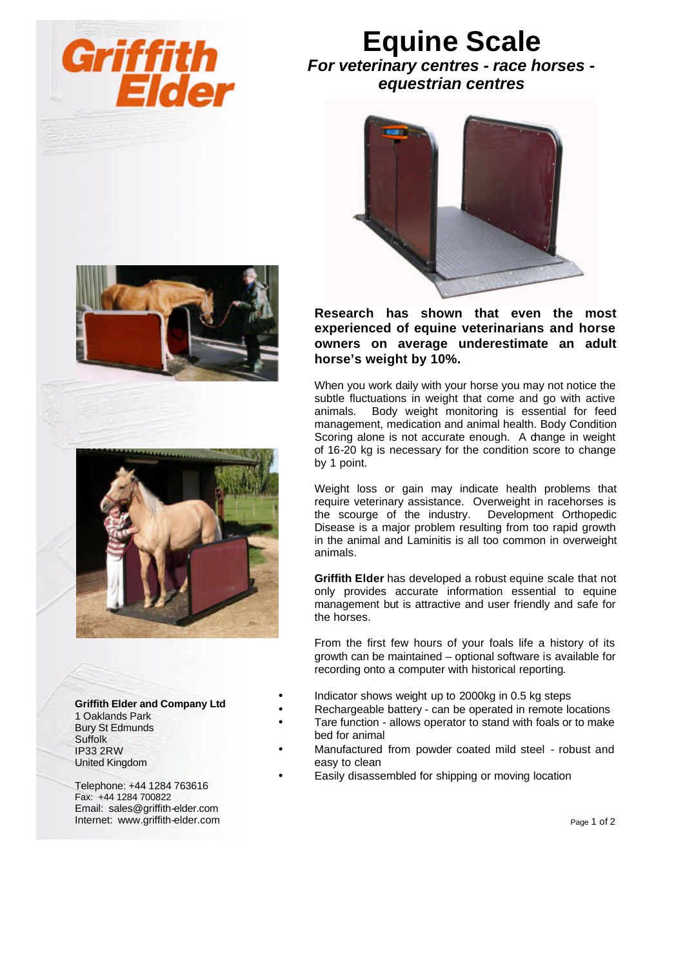

## **Equine Scale**

*For veterinary centres - race horses equestrian centres*







**Griffith Elder and Company Ltd** 1 Oaklands Park Bury St Edmunds Suffolk IP33 2RW United Kingdom

Telephone: +44 1284 763616 Fax: +44 1284 700822 Email: sales@griffith-elder.com Internet: www.griffith-elder.com

**Research has shown that even the most experienced of equine veterinarians and horse owners on average underestimate an adult horse's weight by 10%.**

When you work daily with your horse you may not notice the subtle fluctuations in weight that come and go with active animals. Body weight monitoring is essential for feed management, medication and animal health. Body Condition Scoring alone is not accurate enough. A change in weight of 16-20 kg is necessary for the condition score to change by 1 point.

Weight loss or gain may indicate health problems that require veterinary assistance. Overweight in racehorses is the scourge of the industry. Development Orthopedic Disease is a major problem resulting from too rapid growth in the animal and Laminitis is all too common in overweight animals.

**Griffith Elder** has developed a robust equine scale that not only provides accurate information essential to equine management but is attractive and user friendly and safe for the horses.

From the first few hours of your foals life a history of its growth can be maintained – optional software is available for recording onto a computer with historical reporting.

- Indicator shows weight up to 2000kg in 0.5 kg steps
- Rechargeable battery can be operated in remote locations
- Tare function allows operator to stand with foals or to make bed for animal
- Manufactured from powder coated mild steel robust and easy to clean
- Easily disassembled for shipping or moving location